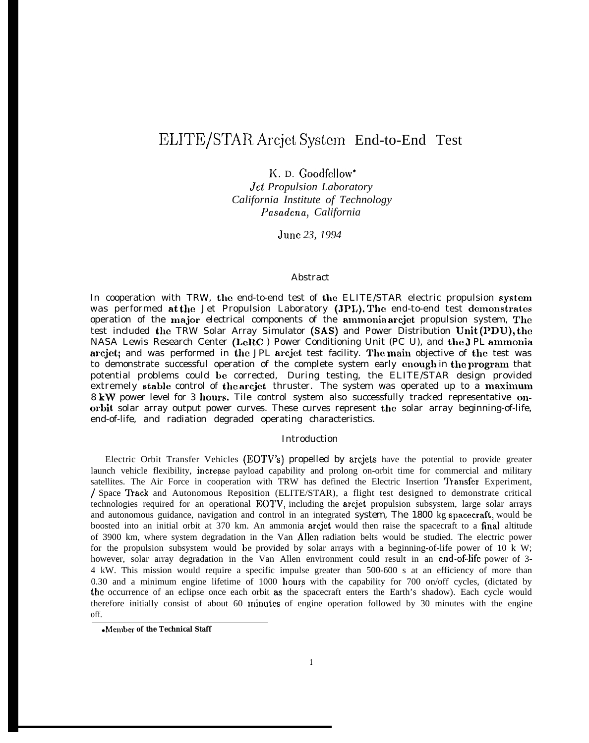# ELITE/STAR Arcjet System End-to-End Test

K. D. Goodfellow\*

*Jet Propulsion Laboratory California Institute of Technology I'asadena, California*

*June 23, 1994*

## Abstract

In cooperation with TRW, the end-to-end test of the ELITE/STAR electric propulsion system was performed at the Jet Propulsion Laboratory (JPL). The end-to-end test demonstrates operation of the major electrical components of the ammonia arcjet propulsion system, The test included the TRW Solar Array Simulator (SAS) and Power Distribution Unit (PDU), the NASA Lewis Research Center (LeRC ) Power Conditioning Unit (PC U), and the 3 PL annnonia arcjet; and was performed in the JPL arcjet test facility. The main objective of the test was to demonstrate successful operation of the complete system early enough in the program that potential problems could be corrected, During testing, the ELITE/STAR design provided extremely stable control of the $\operatorname{\sf arcjet}$  thruster. The system was operated up to a maximum 8 kW power level for 3 hours. Tile control system also successfully tracked representative onorbit solar array output power curves. These curves represent the solar array beginning-of-life, end-of-life, and radiation degraded operating characteristics.

## Introduction

Electric Orbit Transfer Vehicles (EOTV'S) propelled by arcjets have the potential to provide greater launch vehicle flexibility, increase payload capability and prolong on-orbit time for commercial and military satellites. The Air Force in cooperation with TRW has defined the Electric Insertion 'Hansfer Experiment, / Space Track and Autonomous Reposition (ELITE/STAR), a flight test designed to demonstrate critical technologies required for an operational EOTV, including the arcjet propulsion subsystem, large solar arrays and autonomous guidance, navigation and control in an integrated system, The 1800 kg spacecraft, would be boosted into an initial orbit at 370 km. An ammonia arcjet would then raise the spacecraft to a final altitude of 3900 km, where system degradation in the Van Allen radiation belts would be studied. The electric power for the propulsion subsystem would be provided by solar arrays with a beginning-of-life power of 10 k W; however, solar array degradation in the Van Allen environment could result in an end-of-life power of 3-4 kW. This mission would require a specific impulse greater than 500-600 s at an efficiency of more than 0.30 and a minimum engine lifetime of 1000 hours with the capability for 700 on/off cycles, (dictated by the occurrence of an eclipse once each orbit as the spacecraft enters the Earth's shadow). Each cycle would therefore initially consist of about 60 minutes of engine operation followed by 30 minutes with the engine off.

<sup>●</sup> **Member of the Technical Staff**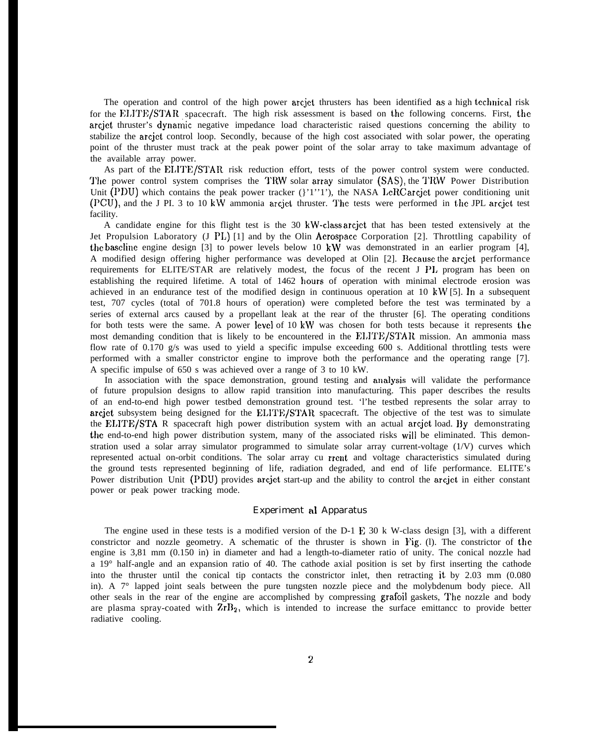The operation and control of the high power arcjet thrusters has been identified as a high technical risk for the EI,ITE/STAR spacecraft. The high risk assessment is based on the following concerns. First, the arcjet thruster's dynamic negative impedance load characteristic raised questions concerning the ability to stabilize the arcjct control loop. Secondly, because of the high cost associated with solar power, the operating point of the thruster must track at the peak power point of the solar array to take maximum advantage of the available array power.

As part of the ELITE/STAR risk reduction effort, tests of the power control system were conducted. The power control system comprises the TRW solar array simulator (SAS), the TRW Power Distribution Unit (PDU) which contains the peak power tracker  $($ '1''1'), the NASA LeRC arcjet power conditioning unit (PCU), and the J PI. 3 to 10 kW ammonia arcjet thruster. The tests were performed in the JPL arcjet test facility.

A candidate engine for this flight test is the 30 kW-class arcjet that has been tested extensively at the Jet Propulsion Laboratory (J PL) [1] and by the Olin Aerospace Corporation [2]. Throttling capability of the bascliue engine design [3] to power levels below 10 kW was demonstrated in an earlier program [4], A modified design offering higher performance was developed at Olin [2]. Because the arcjet performance requirements for ELITE/STAR are relatively modest, the focus of the recent J PI, program has been on establishing the required lifetime. A total of 1462 hours of operation with minimal electrode erosion was achieved in an endurance test of the modified design in continuous operation at 10 kW [5]. In a subsequent test, 707 cycles (total of 701.8 hours of operation) were completed before the test was terminated by a series of external arcs caused by a propellant leak at the rear of the thruster [6]. The operating conditions for both tests were the same. A power level of 10 kW was chosen for both tests because it represents the most demanding condition that is likely to be encountered in the ELITE/STAR mission. An ammonia mass flow rate of 0.170 g/s was used to yield a specific impulse exceeding 600 s. Additional throttling tests were performed with a smaller constrictor engine to improve both the performance and the operating range [7]. A specific impulse of 650 s was achieved over a range of 3 to 10 kW.

In association with the space demonstration, ground testing and anaJysis will validate the performance of future propulsion designs to allow rapid transition into manufacturing. This paper describes the results of an end-to-end high power testbed demonstration ground test. 'l'he testbed represents the solar array to arcjet subsystem being designed for the ELITE/STAR spacecraft. The objective of the test was to simulate the EI,ITE/STA R spacecraft high power distribution system with an actual arcjet load. By demonstrating the end-to-end high power distribution system, many of the associated risks will be eliminated. This demonstration used a solar array simulator programmed to simulate solar array current-voltage (1/V) curves which represented actual on-orbit conditions. The solar array cu rrcnt and voltage characteristics simulated during the ground tests represented beginning of life, radiation degraded, and end of life performance. ELITE's Power distribution Unit (PDU) provides arcjet start-up and the ability to control the arcjct in either constant power or peak power tracking mode.

## Experiment al Apparatus

The engine used in these tests is a modified version of the D-1 E 30 k W-class design [3], with a different constrictor and nozzle geometry. A schematic of the thruster is shown in Fig. (l). The constrictor of the engine is 3,81 mm (0.150 in) in diameter and had a length-to-diameter ratio of unity. The conical nozzle had a 19° half-angle and an expansion ratio of 40. The cathode axial position is set by first inserting the cathode into the thruster until the conical tip contacts the constrictor inlet, then retracting it by 2.03 mm (0.080 in). A 7° lapped joint seals between the pure tungsten nozzle piece and the molybdenum body piece. All other seals in the rear of the engine are accomplished by compressing grafoil gaskets, The nozzle and body are plasma spray-coated with  $\mathbb{Z}r\mathbb{B}_2$ , which is intended to increase the surface emittance to provide better radiative cooling.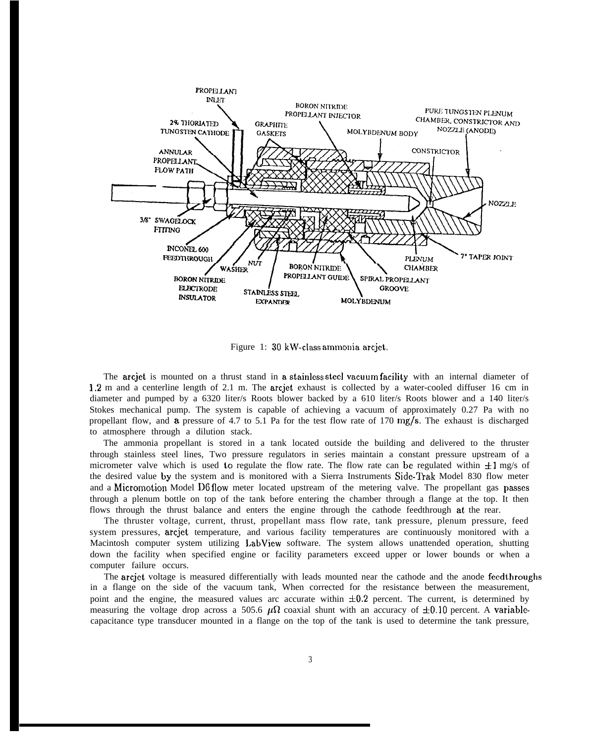

Figure 1: 30 kW-class ammonia arcjet.

The arcjet is mounted on a thrust stand in a stainless steel vacuum facility with an internal diameter of 1.2 m and a centerline length of 2.1 m. The arcjet exhaust is collected by a water-cooled diffuser 16 cm in diameter and pumped by a 6320 liter/s Roots blower backed by a 610 liter/s Roots blower and a 140 liter/s Stokes mechanical pump. The system is capable of achieving a vacuum of approximately 0.27 Pa with no propellant flow, and a pressure of 4.7 to 5.1 Pa for the test flow rate of 170 mg/s. The exhaust is discharged to atmosphere through a dilution stack.

The ammonia propellant is stored in a tank located outside the building and delivered to the thruster through stainless steel lines, Two pressure regulators in series maintain a constant pressure upstream of a micrometer valve which is used to regulate the flow rate. The flow rate can be regulated within  $+1$  mg/s of the desired value by the system and is monitored with a Sierra Instruments Side-Trak Model 830 flow meter and a Micromotion Model D6 flow meter located upstream of the metering valve. The propellant gas passes through a plenum bottle on top of the tank before entering the chamber through a flange at the top. It then flows through the thrust balance and enters the engine through the cathode feedthrough at the rear.

The thruster voltage, current, thrust, propellant mass flow rate, tank pressure, plenum pressure, feed system pressures, arcjet temperature, and various facility temperatures are continuously monitored with a Macintosh computer system utilizing LabView software. The system allows unattended operation, shutting down the facility when specified engine or facility parameters exceed upper or lower bounds or when a computer failure occurs.

The arcjet voltage is measured differentially with leads mounted near the cathode and the anode feedthroughs in a flange on the side of the vacuum tank, When corrected for the resistance between the measurement, point and the engine, the measured values arc accurate within  $\pm 0.2$  percent. The current, is determined by measuring the voltage drop across a 505.6  $\mu\Omega$  coaxial shunt with an accuracy of  $\pm 0.10$  percent. A variablecapacitance type transducer mounted in a flange on the top of the tank is used to determine the tank pressure,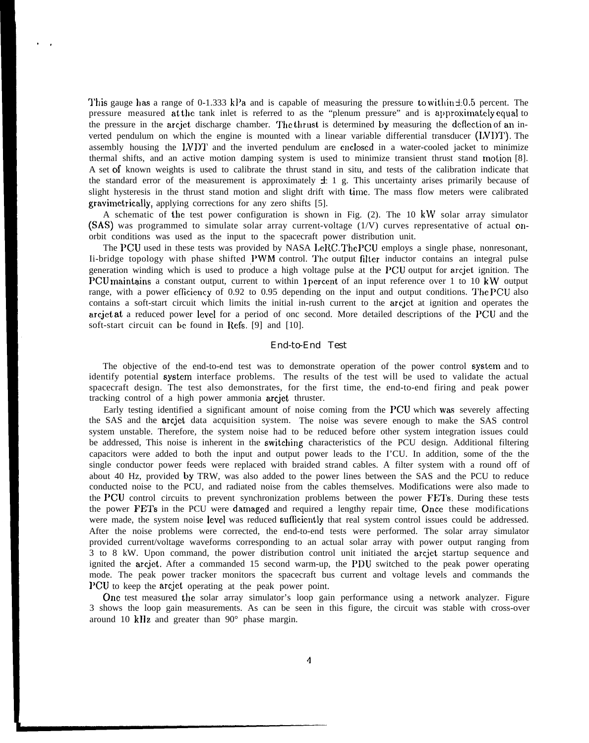This gauge has a range of 0-1.333 kPa and is capable of measuring the pressure to within  $\pm 0.5$  percent. The pressure measured at the tank inlet is referred to as the "plenum pressure" and is approximately equal to the pressure in the arcjet discharge chamber. The thrust is determined by measuring the deflection of an inverted pendulum on which the engine is mounted with a linear variable differential transducer (IVDT). The assembly housing the LVDT and the inverted pendulum are enclosed in a water-cooled jacket to minimize thermal shifts, and an active motion damping system is used to minimize transient thrust stand tnotion [8]. A set of known weights is used to calibrate the thrust stand in situ, and tests of the calibration indicate that the standard error of the measurement is approximately  $\pm 1$  g. This uncertainty arises primarily because of slight hysteresis in the thrust stand motion and slight drift with time. The mass flow meters were calibrated gravimetrically, applying corrections for any zero shifts [5].

,.

A schematic of the test power configuration is shown in Fig.  $(2)$ . The 10 kW solar array simulator (SAS) was programmed to simulate solar array current-voltage (1/V) curves representative of actual onorbit conditions was used as the input to the spacecraft power distribution unit.

The PCU used in these tests was provided by NASA  $LeRC$ . The PCU employs a single phase, nonresonant, Ii-bridge topology with phase shifted PWM control. The output filter inductor contains an integral pulse generation winding which is used to produce a high voltage pulse at the PGU output for arcjet ignition. The PCU maintains a constant output, current to within 1 percent of an input reference over 1 to 10 kW output range, with a power efficiency of 0.92 to 0.95 depending on the input and output conditions. The PCU also contains a soft-start circuit which limits the initial in-rush current to the arcjct at ignition and operates the arcjet at a reduced power level for a period of onc second. More detailed descriptions of the PGU and the soft-start circuit can bc found in Refs. [9] and [10].

#### End-to-End Test

The objective of the end-to-end test was to demonstrate operation of the power control system and to identify potential system interface problems. The results of the test will be used to validate the actual spacecraft design. The test also demonstrates, for the first time, the end-to-end firing and peak power tracking control of a high power ammonia arcjet thruster.

Early testing identified a significant amount of noise coming from the PCU which was severely affecting the SAS and the arcjet data acquisition system. The noise was severe enough to make the SAS control system unstable. Therefore, the system noise had to be reduced before other system integration issues could be addressed, This noise is inherent in the switching characteristics of the PCU design. Additional filtering capacitors were added to both the input and output power leads to the I'CU. In addition, some of the the single conductor power feeds were replaced with braided strand cables. A filter system with a round off of about 40 Hz, provided by TRW, was also added to the power lines between the SAS and the PCU to reduce conducted noise to the PCU, and radiated noise from the cables themselves. Modifications were also made to the PCU control circuits to prevent synchronization problems between the power FETs. During these tests the power FETs in the PCU were damaged and required a lengthy repair time, Once these modifications were made, the system noise level was reduced sufficiently that real system control issues could be addressed. After the noise problems were corrected, the end-to-end tests were performed. The solar array simulator provided current/voltage waveforms corresponding to an actual solar array with power output ranging from 3 to 8 kW. Upon command, the power distribution control unit initiated the arcjct startup sequence and ignited the arcjet. After a commanded 15 second warm-up, the PDU switched to the peak power operating mode. The peak power tracker monitors the spacecraft bus current and voltage levels and commands the 1'CU to keep the arcjet operating at the peak power point.

One test measured the solar array simulator's loop gain performance using a network analyzer. Figure 3 shows the loop gain measurements. As can be seen in this figure, the circuit was stable with cross-over around 10 kllz and greater than 90° phase margin.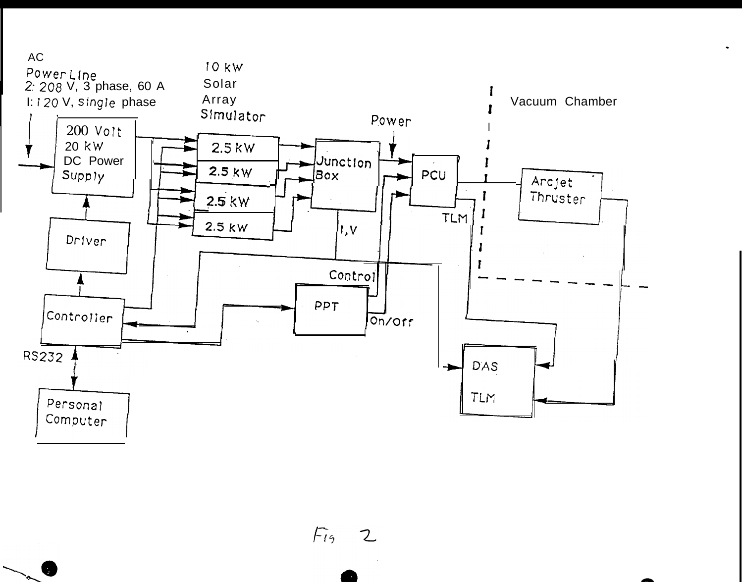

 $F_{19}$ フ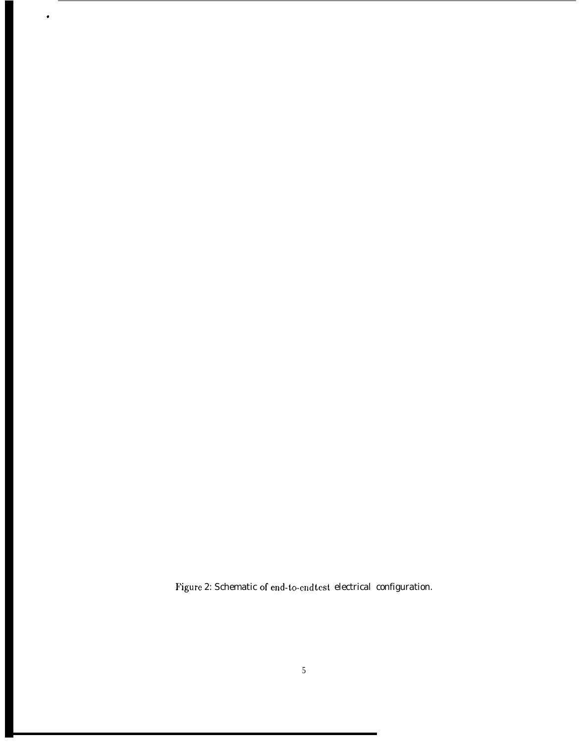Figure 2: Schematic of end-to-end test, electrical configuration.

,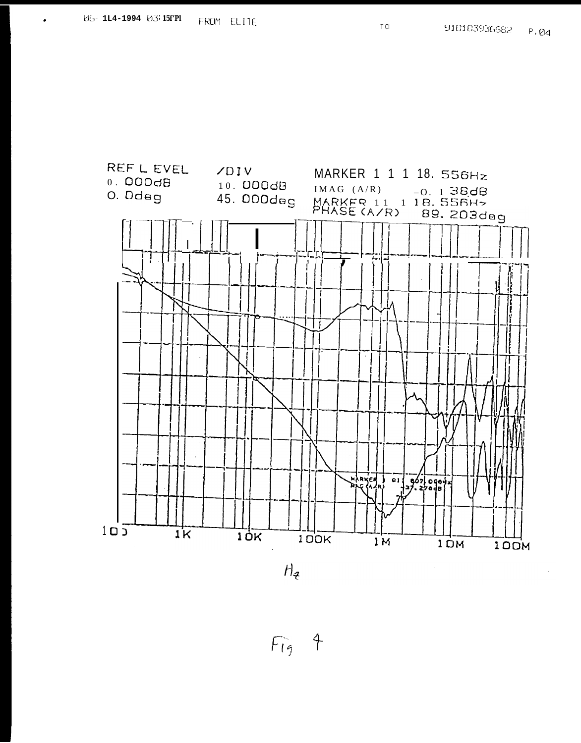REF L EVEL

 $0.000dB$ 



T CI



 $F_{19}$  4

 $\ddot{\phantom{a}}$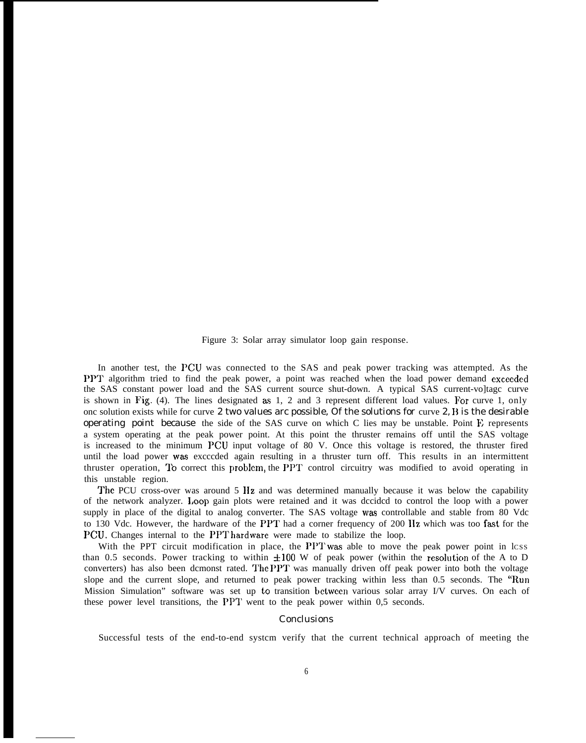Figure 3: Solar array simulator loop gain response.

In another test, the PCU was connected to the SAS and peak power tracking was attempted. As the PPT algorithm tried to find the peak power, a point was reached when the load power demand exceeded the SAS constant power load and the SAS current source shut-down. A typical SAS current-vo]tagc curve is shown in Fig. (4). The lines designated as  $1, 2$  and  $3$  represent different load values. For curve 1, only onc solution exists while for curve 2 two values arc possible, Of the solutions for curve 2, B is the desirable operating point because the side of the SAS curve on which C lies may be unstable. Point  $\hat{F}$ , represents a system operating at the peak power point. At this point the thruster remains off until the SAS voltage is increased to the minimum PCU input voltage of 80 V. Once this voltage is restored, the thruster fired until the load power was excccded again resulting in a thruster turn off. This results in an intermittent thruster operation, TO correct this problcm, the PPT control circuitry was modified to avoid operating in this unstable region.

The PCU cross-over was around 5 Hz and was determined manually because it was below the capability of the network analyzer. l,oop gain plots were retained and it was dccidcd to control the loop with a power supply in place of the digital to analog converter. The SAS voltage was controllable and stable from 80 Vdc to 130 Vdc. However, the hardware of the PPT had a corner frequency of 200 IIz which was too fast for the PCU. Changes internal to the PPT hardware were made to stabilize the loop.

With the PPT circuit modification in place, the PPT was able to move the peak power point in lcss than 0.5 seconds. Power tracking to within  $\pm 100$  W of peak power (within the resolution of the A to D converters) has also been dcmonst rated. The PPT was manually driven off peak power into both the voltage slope and the current slope, and returned to peak power tracking within less than 0.5 seconds. The 'Run Mission Simulation" software was set up to transition between various solar array I/V curves. On each of these power level transitions, the PPT went to the peak power within  $0.5$  seconds.

#### Conclusions

Successful tests of the end-to-end systcm verify that the current technical approach of meeting the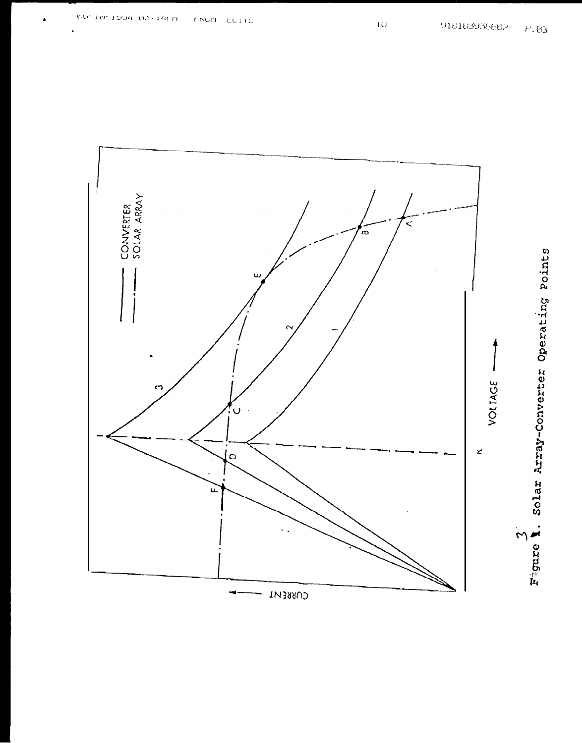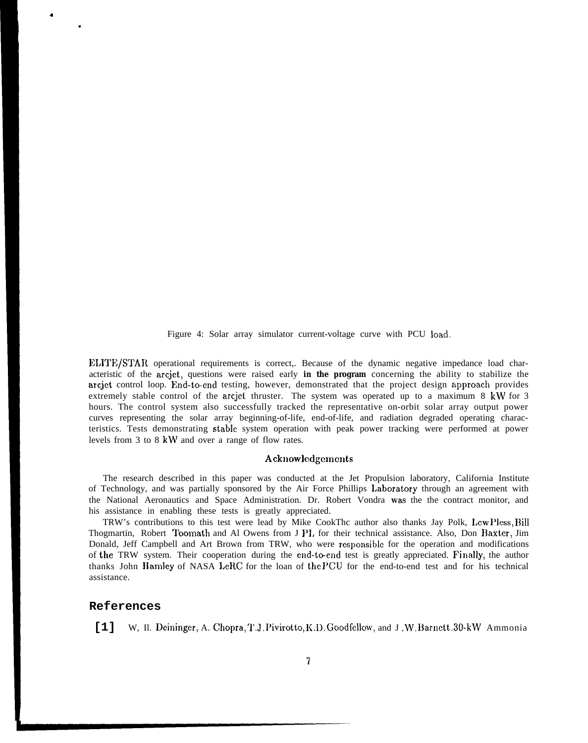Figure 4: Solar array simulator current-voltage curve with PCU load.

ELITE/STAR operational requirements is correct,. Because of the dynamic negative impedance load characteristic of the arcjet, questions were raised early **in the program** concerning the ability to stabilize the arcjet control loop. End-to-end testing, however, demonstrated that the project design approach provides extremely stable control of the arcjet thruster. The system was operated up to a maximum 8 kW for 3 hours. The control system also successfully tracked the representative on-orbit solar array output power curves representing the solar array beginning-of-life, end-of-life, and radiation degraded operating characteristics. Tests demonstrating stable system operation with peak power tracking were performed at power levels from 3 to 8 kW and over a range of flow rates.

### Acknowlcdgemcnts

The research described in this paper was conducted at the Jet Propulsion laboratory, California Institute of Technology, and was partially sponsored by the Air Force Phillips I,aboratory through an agreement with the National Aeronautics and Space Administration. Dr. Robert Vondra was the the contract monitor, and his assistance in enabling these tests is greatly appreciated.

TRW's contributions to this test were lead by Mike CookThc author also thanks Jay Polk, I,ew Pless, 13ill Thogmartin, Robert Toomath and Al Owens from J PI, for their technical assistance. Also, Don Raxter, Jim Donald, Jeff Campbell and Art Brown from TRW, who were responsible for the operation and modifications of the TRW system. Their cooperation during the end-to-end test is greatly appreciated. Finally, the author thanks John Hamley of NASA LeRC for the loan of the PCU for the end-to-end test and for his technical assistance.

## **References**

4

.

[1] W, Il. Deininger, A. Chopra, T.J. Pivirotto, K.D. Goodfellow, and J.W. Barnett. 30-kW Ammonia